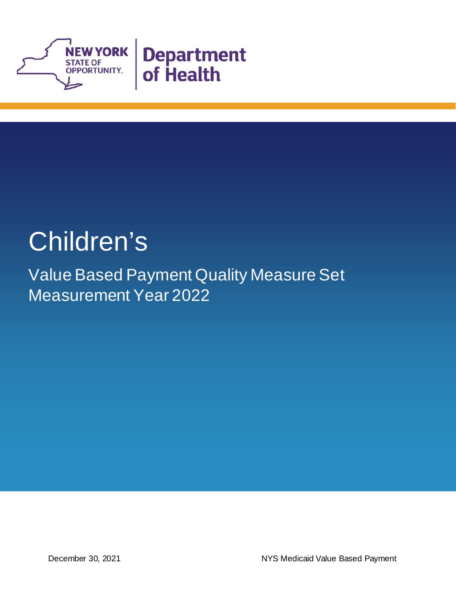

# Children's

Value Based Payment Quality Measure Set Measurement Year 2022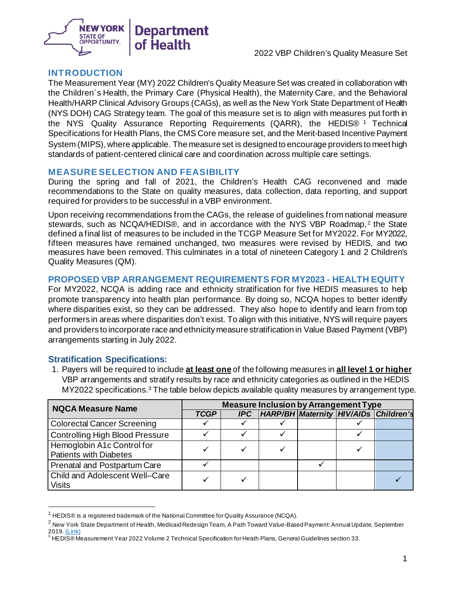

#### **INTRODUCTION**

The Measurement Year (MY) 2022 Children's Quality Measure Set was created in collaboration with the Children´s Health, the Primary Care (Physical Health), the Maternity Care, and the Behavioral Health/HARP Clinical Advisory Groups (CAGs), as well as the New York State Department of Health (NYS DOH) CAG Strategy team. The goal of this measure set is to align with measures put forth in the NYS Quality Assurance Reporting Requirements (QARR), the HEDIS® [1](#page-2-0) Technical Specifications for Health Plans, the CMS Core measure set, and the Merit-based Incentive Payment System (MIPS), where applicable. The measure set is designed to encourage providers to meet high standards of patient-centered clinical care and coordination across multiple care settings.

#### **MEASURE SELECTION AND FEASIBILITY**

During the spring and fall of 2021, the Children's Health CAG reconvened and made recommendations to the State on quality measures, data collection, data reporting, and support required for providers to be successful in a VBP environment.

Upon receiving recommendations from the CAGs, the release of guidelines from national measure stewards, such as NCQA/HEDIS®, and in accordance with the NYS VBP Roadmap,<sup>[2](#page-2-1)</sup> the State defined a final list of measures to be included in the TCGP Measure Set for MY2022. For MY2022, fifteen measures have remained unchanged, two measures were revised by HEDIS, and two measures have been removed. This culminates in a total of nineteen Category 1 and 2 Children's Quality Measures (QM).

#### **PROPOSED VBP ARRANGEMENT REQUIREMENTS FOR MY2023 - HEALTH EQUITY**

For MY2022, NCQA is adding race and ethnicity stratification for five HEDIS measures to help promote transparency into health plan performance. By doing so, NCQA hopes to better identify where disparities exist, so they can be addressed. They also hope to identify and learn from top performers in areas where disparities don't exist. To align with this initiative, NYS will require payers and providers to incorporate race and ethnicity measure stratification in Value Based Payment (VBP) arrangements starting in July 2022.

#### **Stratification Specifications:**

1. Payers will be required to include **at least one** of the following measures in **all level 1 or higher** VBP arrangements and stratify results by race and ethnicity categories as outlined in the HEDIS  $MY2022$  specifications.<sup>3</sup> The table below depicts available quality measures by arrangement type.

| <b>NQCA Measure Name</b>                                    | <b>Measure Inclusion by Arrangement Type</b> |  |  |  |  |                                                          |
|-------------------------------------------------------------|----------------------------------------------|--|--|--|--|----------------------------------------------------------|
|                                                             | <b>TCGP</b>                                  |  |  |  |  | <b>IPC</b>   HARP/BH   Maternity   HIV/AIDs   Children's |
| <b>Colorectal Cancer Screening</b>                          |                                              |  |  |  |  |                                                          |
| <b>Controlling High Blood Pressure</b>                      |                                              |  |  |  |  |                                                          |
| Hemoglobin A1c Control for<br><b>Patients with Diabetes</b> |                                              |  |  |  |  |                                                          |
| Prenatal and Postpartum Care                                |                                              |  |  |  |  |                                                          |
| Child and Adolescent Well-Care<br>Visits                    |                                              |  |  |  |  |                                                          |

 $^1$  HEDIS® is a registered trademark of the National Committee for Quality Assurance (NCQA).

<span id="page-2-1"></span><span id="page-2-0"></span><sup>&</sup>lt;sup>2</sup> New York State Department of Health, Medicaid Redesign Team, A Path Toward Value-Based Payment: Annual Update, September 2019[. \(Link\)](https://www.health.ny.gov/health_care/medicaid/redesign/dsrip/vbp_library/2020/docs/2019-09_final_vbp_roadmap.pdf)

<span id="page-2-2"></span><sup>&</sup>lt;sup>3</sup> HEDIS® Measurement Year 2022 Volume 2 Technical Specification for Heath Plans, General Guidelines section 33.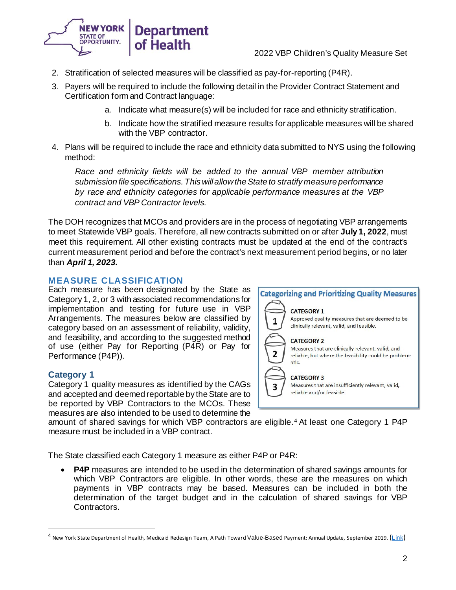

- 2. Stratification of selected measures will be classified as pay-for-reporting (P4R).
- 3. Payers will be required to include the following detail in the Provider Contract Statement and Certification form and Contract language:
	- a. Indicate what measure(s) will be included for race and ethnicity stratification.
	- b. Indicate how the stratified measure results for applicable measures will be shared with the VBP contractor.
- 4. Plans will be required to include the race and ethnicity data submitted to NYS using the following method:

*Race and ethnicity fields will be added to the annual VBP member attribution submission file specifications. This will allow the State to stratify measure performance by race and ethnicity categories for applicable performance measures at the VBP contract and VBP Contractor levels.* 

The DOH recognizes that MCOs and providers are in the process of negotiating VBP arrangements to meet Statewide VBP goals. Therefore, all new contracts submitted on or after **July 1, 2022**, must meet this requirement. All other existing contracts must be updated at the end of the contract's current measurement period and before the contract's next measurement period begins, or no later than *April 1, 2023.*

### **MEASURE CLASSIFICATION**

Each measure has been designated by the State as Category 1, 2, or 3 with associated recommendations for implementation and testing for future use in VBP Arrangements. The measures below are classified by category based on an assessment of reliability, validity, and feasibility, and according to the suggested method of use (either Pay for Reporting (P4R) or Pay for Performance (P4P)).

#### **Category 1**

Category 1 quality measures as identified by the CAGs and accepted and deemed reportable by the State are to be reported by VBP Contractors to the MCOs. These measures are also intended to be used to determine the



amount of shared savings for which VBP contractors are eligible.<sup>[4](#page-3-0)</sup> At least one Category 1 P4P measure must be included in a VBP contract.

The State classified each Category 1 measure as either P4P or P4R:

• **P4P** measures are intended to be used in the determination of shared savings amounts for which VBP Contractors are eligible. In other words, these are the measures on which payments in VBP contracts may be based. Measures can be included in both the determination of the target budget and in the calculation of shared savings for VBP Contractors.

<span id="page-3-0"></span><sup>&</sup>lt;sup>4</sup> New York State Department of Health, Medicaid Redesign Team, A Path Toward Value-Based Payment: Annual Update, September 2019. ([Link](https://www.health.ny.gov/health_care/medicaid/redesign/dsrip/vbp_library/2020/docs/2019-09_final_vbp_roadmap.pdf))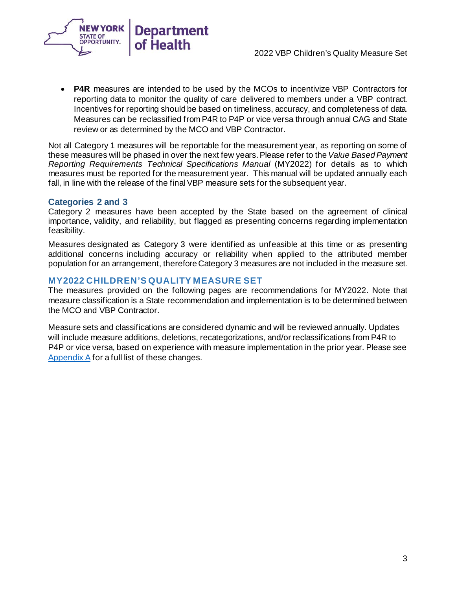



**P4R** measures are intended to be used by the MCOs to incentivize VBP Contractors for reporting data to monitor the quality of care delivered to members under a VBP contract. Incentives for reporting should be based on timeliness, accuracy, and completeness of data. Measures can be reclassified from P4R to P4P or vice versa through annual CAG and State review or as determined by the MCO and VBP Contractor.

Not all Category 1 measures will be reportable for the measurement year, as reporting on some of these measures will be phased in over the next few years. Please refer to the*Value Based Payment Reporting Requirements Technical Specifications Manual* (MY2022) for details as to which measures must be reported for the measurement year. This manual will be updated annually each fall, in line with the release of the final VBP measure sets for the subsequent year.

#### **Categories 2 and 3**

Category 2 measures have been accepted by the State based on the agreement of clinical importance, validity, and reliability, but flagged as presenting concerns regarding implementation feasibility.

Measures designated as Category 3 were identified as unfeasible at this time or as presenting additional concerns including accuracy or reliability when applied to the attributed member population for an arrangement, therefore Category 3 measures are not included in the measure set.

#### **MY2022 CHILDREN'S QUALITY MEASURE SET**

The measures provided on the following pages are recommendations for MY2022. Note that measure classification is a State recommendation and implementation is to be determined between the MCO and VBP Contractor.

Measure sets and classifications are considered dynamic and will be reviewed annually. Updates will include measure additions, deletions, recategorizations, and/orreclassifications from P4R to P4P or vice versa, based on experience with measure implementation in the prior year. Please see [Appendix A](#page-8-0) for a full list of these changes.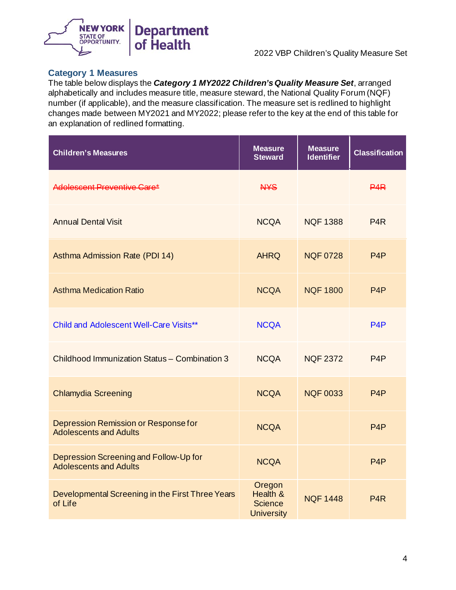

#### **Category 1 Measures**

The table below displays the *Category 1 MY2022 Children's Quality Measure Set*, arranged alphabetically and includes measure title, measure steward, the National Quality Forum (NQF) number (if applicable), and the measure classification. The measure set is redlined to highlight changes made between MY2021 and MY2022; please refer to the key at the end of this table for an explanation of redlined formatting.

| <b>Children's Measures</b>                                              | <b>Measure</b><br><b>Steward</b>                          | <b>Measure</b><br><b>Identifier</b> | <b>Classification</b> |
|-------------------------------------------------------------------------|-----------------------------------------------------------|-------------------------------------|-----------------------|
| Adolescent Preventive Care*                                             | <b>NYS</b>                                                |                                     | <b>P4R</b>            |
| <b>Annual Dental Visit</b>                                              | <b>NCQA</b>                                               | <b>NQF 1388</b>                     | P4R                   |
| Asthma Admission Rate (PDI 14)                                          | <b>AHRQ</b>                                               | <b>NQF 0728</b>                     | P <sub>4</sub> P      |
| <b>Asthma Medication Ratio</b>                                          | <b>NCQA</b>                                               | <b>NQF 1800</b>                     | P <sub>4</sub> P      |
| <b>Child and Adolescent Well-Care Visits**</b>                          | <b>NCQA</b>                                               |                                     | P <sub>4</sub> P      |
| Childhood Immunization Status - Combination 3                           | <b>NCQA</b>                                               | <b>NQF 2372</b>                     | P <sub>4</sub> P      |
| <b>Chlamydia Screening</b>                                              | <b>NCQA</b>                                               | <b>NQF 0033</b>                     | P <sub>4</sub> P      |
| Depression Remission or Response for<br><b>Adolescents and Adults</b>   | <b>NCQA</b>                                               |                                     | P <sub>4</sub> P      |
| Depression Screening and Follow-Up for<br><b>Adolescents and Adults</b> | <b>NCQA</b>                                               |                                     | P <sub>4</sub> P      |
| Developmental Screening in the First Three Years<br>of Life             | Oregon<br>Health &<br><b>Science</b><br><b>University</b> | <b>NQF 1448</b>                     | P <sub>4</sub> R      |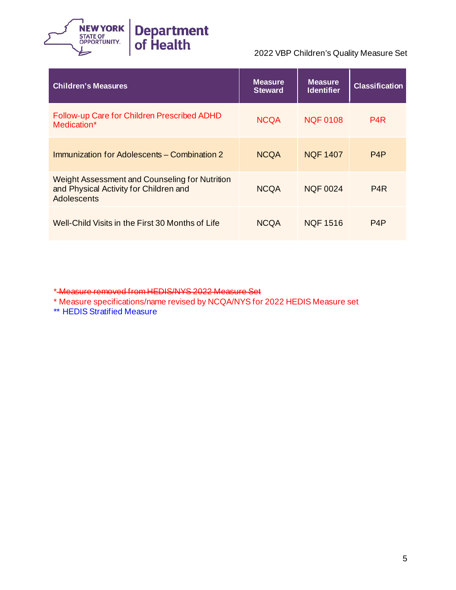

| <b>Children's Measures</b>                                                                              | <b>Measure</b><br><b>Steward</b> | <b>Measure</b><br><b>Identifier</b> | <b>Classification</b> |
|---------------------------------------------------------------------------------------------------------|----------------------------------|-------------------------------------|-----------------------|
| Follow-up Care for Children Prescribed ADHD<br>Medication*                                              | <b>NCQA</b>                      | <b>NQF 0108</b>                     | P4R                   |
| Immunization for Adolescents – Combination 2                                                            | <b>NCQA</b>                      | <b>NOF 1407</b>                     | P <sub>4</sub> P      |
| Weight Assessment and Counseling for Nutrition<br>and Physical Activity for Children and<br>Adolescents | <b>NCQA</b>                      | <b>NOF 0024</b>                     | P <sub>4</sub> R      |
| Well-Child Visits in the First 30 Months of Life                                                        | <b>NCQA</b>                      | <b>NQF 1516</b>                     | P4P                   |

\* Measure removed from HEDIS/NYS 2022 Measure Set

\* Measure specifications/name revised by NCQA/NYS for 2022 HEDIS Measure set

\*\* HEDIS Stratified Measure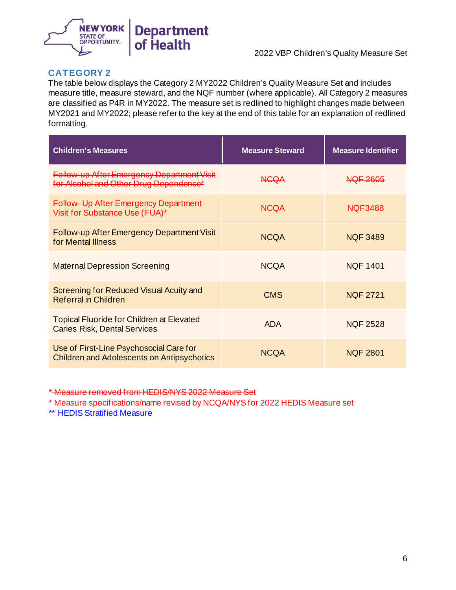

### **CATEGORY 2**

The table below displays the Category 2 MY2022 Children's Quality Measure Set and includes measure title, measure steward, and the NQF number (where applicable). All Category 2 measures are classified as P4R in MY2022. The measure set is redlined to highlight changes made between MY2021 and MY2022; please refer to the key at the end of this table for an explanation of redlined formatting.

| <b>Children's Measures</b>                                                                   | <b>Measure Steward</b> | <b>Measure Identifier</b> |
|----------------------------------------------------------------------------------------------|------------------------|---------------------------|
| Follow-up After Emergency Department Visit<br>for Alcohol and Other Drug Dependence*         | NGQA                   | <b>NOF 2605</b>           |
| Follow-Up After Emergency Department<br>Visit for Substance Use (FUA)*                       | <b>NCOA</b>            | NOF3488                   |
| Follow-up After Emergency Department Visit<br>for Mental Illness                             | <b>NCQA</b>            | <b>NQF 3489</b>           |
| <b>Maternal Depression Screening</b>                                                         | <b>NCQA</b>            | <b>NQF 1401</b>           |
| Screening for Reduced Visual Acuity and<br><b>Referral in Children</b>                       | <b>CMS</b>             | <b>NQF 2721</b>           |
| <b>Topical Fluoride for Children at Elevated</b><br><b>Caries Risk, Dental Services</b>      | <b>ADA</b>             | <b>NQF 2528</b>           |
| Use of First-Line Psychosocial Care for<br><b>Children and Adolescents on Antipsychotics</b> | <b>NCQA</b>            | <b>NQF 2801</b>           |

\* Measure removed from HEDIS/NYS 2022 Measure Set

\* Measure specifications/name revised by NCQA/NYS for 2022 HEDIS Measure set

\*\* HEDIS Stratified Measure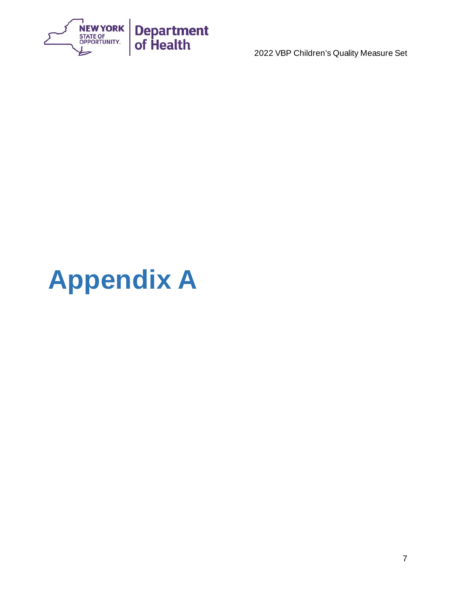

# <span id="page-8-0"></span>**Appendix A**